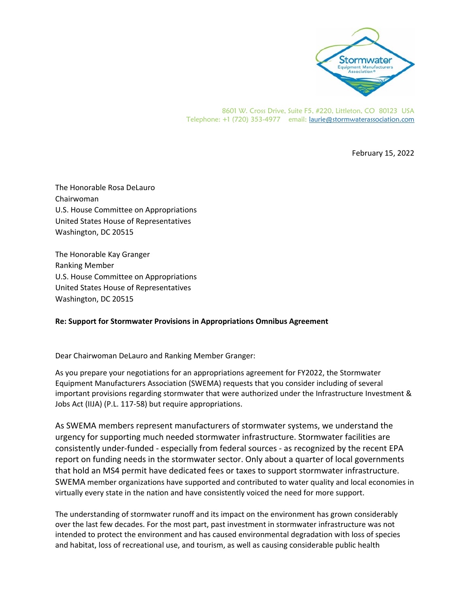

8601 W. Cross Drive, Suite F5, #220, Littleton, CO 80123 USA Telephone: +1 (720) 353-4977 email: laurie@stormwaterassociation.com

February 15, 2022

The Honorable Rosa DeLauro Chairwoman U.S. House Committee on Appropriations United States House of Representatives Washington, DC 20515

The Honorable Kay Granger Ranking Member U.S. House Committee on Appropriations United States House of Representatives Washington, DC 20515

## **Re: Support for Stormwater Provisions in Appropriations Omnibus Agreement**

Dear Chairwoman DeLauro and Ranking Member Granger:

As you prepare your negotiations for an appropriations agreement for FY2022, the Stormwater Equipment Manufacturers Association (SWEMA) requests that you consider including of several important provisions regarding stormwater that were authorized under the Infrastructure Investment & Jobs Act (IIJA) (P.L. 117‐58) but require appropriations.

As SWEMA members represent manufacturers of stormwater systems, we understand the urgency for supporting much needed stormwater infrastructure. Stormwater facilities are consistently under‐funded ‐ especially from federal sources ‐ as recognized by the recent EPA report on funding needs in the stormwater sector. Only about a quarter of local governments that hold an MS4 permit have dedicated fees or taxes to support stormwater infrastructure. SWEMA member organizations have supported and contributed to water quality and local economies in virtually every state in the nation and have consistently voiced the need for more support.

The understanding of stormwater runoff and its impact on the environment has grown considerably over the last few decades. For the most part, past investment in stormwater infrastructure was not intended to protect the environment and has caused environmental degradation with loss of species and habitat, loss of recreational use, and tourism, as well as causing considerable public health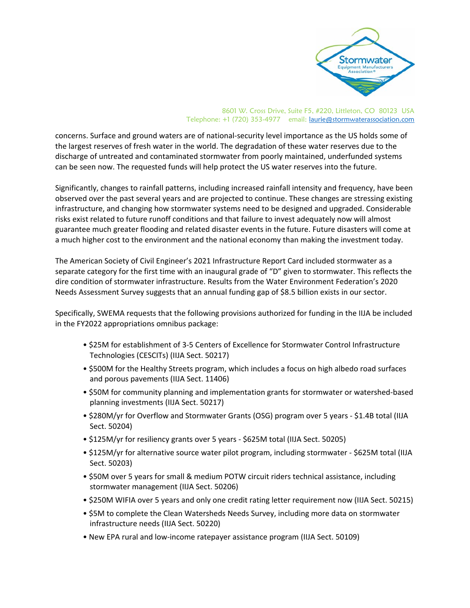

## 8601 W. Cross Drive, Suite F5, #220, Littleton, CO 80123 USA Telephone: +1 (720) 353-4977 email: laurie@stormwaterassociation.com

concerns. Surface and ground waters are of national‐security level importance as the US holds some of the largest reserves of fresh water in the world. The degradation of these water reserves due to the discharge of untreated and contaminated stormwater from poorly maintained, underfunded systems can be seen now. The requested funds will help protect the US water reserves into the future.

Significantly, changes to rainfall patterns, including increased rainfall intensity and frequency, have been observed over the past several years and are projected to continue. These changes are stressing existing infrastructure, and changing how stormwater systems need to be designed and upgraded. Considerable risks exist related to future runoff conditions and that failure to invest adequately now will almost guarantee much greater flooding and related disaster events in the future. Future disasters will come at a much higher cost to the environment and the national economy than making the investment today.

The American Society of Civil Engineer's 2021 Infrastructure Report Card included stormwater as a separate category for the first time with an inaugural grade of "D" given to stormwater. This reflects the dire condition of stormwater infrastructure. Results from the Water Environment Federation's 2020 Needs Assessment Survey suggests that an annual funding gap of \$8.5 billion exists in our sector.

Specifically, SWEMA requests that the following provisions authorized for funding in the IIJA be included in the FY2022 appropriations omnibus package:

- \$25M for establishment of 3‐5 Centers of Excellence for Stormwater Control Infrastructure Technologies (CESCITs) (IIJA Sect. 50217)
- \$500M for the Healthy Streets program, which includes a focus on high albedo road surfaces and porous pavements (IIJA Sect. 11406)
- \$50M for community planning and implementation grants for stormwater or watershed‐based planning investments (IIJA Sect. 50217)
- \$280M/yr for Overflow and Stormwater Grants (OSG) program over 5 years ‐ \$1.4B total (IIJA Sect. 50204)
- \$125M/yr for resiliency grants over 5 years ‐ \$625M total (IIJA Sect. 50205)
- \$125M/yr for alternative source water pilot program, including stormwater ‐ \$625M total (IIJA Sect. 50203)
- \$50M over 5 years for small & medium POTW circuit riders technical assistance, including stormwater management (IIJA Sect. 50206)
- \$250M WIFIA over 5 years and only one credit rating letter requirement now (IIJA Sect. 50215)
- \$5M to complete the Clean Watersheds Needs Survey, including more data on stormwater infrastructure needs (IIJA Sect. 50220)
- New EPA rural and low‐income ratepayer assistance program (IIJA Sect. 50109)